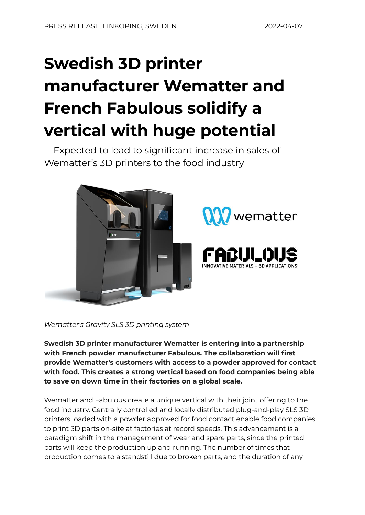## **Swedish 3D printer manufacturer Wematter and French Fabulous solidify a vertical with huge potential**

– Expected to lead to significant increase in sales of Wematter's 3D printers to the food industry



*Wematter's Gravity SLS 3D printing system*

**Swedish 3D printer manufacturer Wematter is entering into a partnership with French powder manufacturer Fabulous. The collaboration will first provide Wematter's customers with access to a powder approved for contact with food. This creates a strong vertical based on food companies being able to save on down time in their factories on a global scale.**

Wematter and Fabulous create a unique vertical with their joint offering to the food industry. Centrally controlled and locally distributed plug-and-play SLS 3D printers loaded with a powder approved for food contact enable food companies to print 3D parts on-site at factories at record speeds. This advancement is a paradigm shift in the management of wear and spare parts, since the printed parts will keep the production up and running. The number of times that production comes to a standstill due to broken parts, and the duration of any